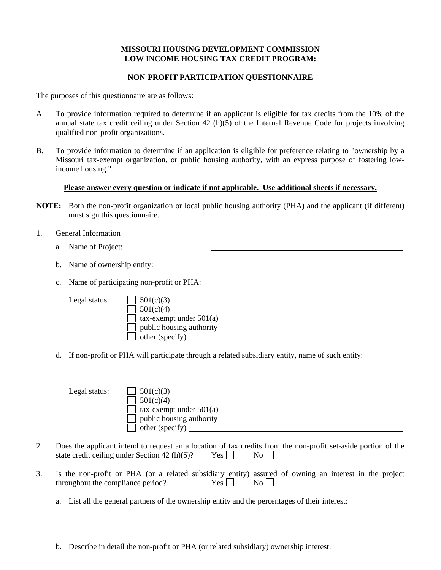### **MISSOURI HOUSING DEVELOPMENT COMMISSION LOW INCOME HOUSING TAX CREDIT PROGRAM:**

#### **NON-PROFIT PARTICIPATION QUESTIONNAIRE**

The purposes of this questionnaire are as follows:

- A. To provide information required to determine if an applicant is eligible for tax credits from the 10% of the annual state tax credit ceiling under Section 42 (h)(5) of the Internal Revenue Code for projects involving qualified non-profit organizations.
- B. To provide information to determine if an application is eligible for preference relating to "ownership by a Missouri tax-exempt organization, or public housing authority, with an express purpose of fostering lowincome housing."

#### **Please answer every question or indicate if not applicable. Use additional sheets if necessary.**

- **NOTE:** Both the non-profit organization or local public housing authority (PHA) and the applicant (if different) must sign this questionnaire.
- 1. General Information

l l

- a. Name of Project:
- b. Name of ownership entity:
- c. Name of participating non-profit or PHA:

| Legal status: | $501(c)(3)$                     |
|---------------|---------------------------------|
|               | $\Box$ 501(c)(4)                |
|               | $\Box$ tax-exempt under 501(a)  |
|               | $\Box$ public housing authority |
|               | $\Box$ other (specify)          |

d. If non-profit or PHA will participate through a related subsidiary entity, name of such entity:

|    | 501(c)(3)<br>Legal status:<br>501(c)(4)<br>$tax$ -exempt under $501(a)$<br>public housing authority<br>other (specify)                                                                          |
|----|-------------------------------------------------------------------------------------------------------------------------------------------------------------------------------------------------|
| 2. | Does the applicant intend to request an allocation of tax credits from the non-profit set-aside portion of the<br>state credit ceiling under Section 42 $(h)(5)$ ?<br>$Yes$ $\Box$<br>$\rm{No}$ |
| 3. | Is the non-profit or PHA (or a related subsidiary entity) assured of owning an interest in the project<br>Yes  <br>throughout the compliance period?<br>$\rm{No}$                               |
|    | List all the general partners of the ownership entity and the percentages of their interest:<br>a.                                                                                              |

b. Describe in detail the non-profit or PHA (or related subsidiary) ownership interest: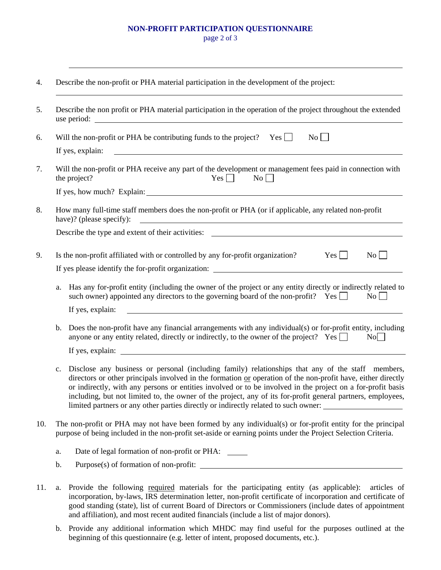# **NON-PROFIT PARTICIPATION QUESTIONNAIRE**

page 2 of 3

l

| 5.  | Describe the non profit or PHA material participation in the operation of the project throughout the extended<br>use period:                                                                                                                                                                                                                                                                                                                                                                                                                             |  |  |  |
|-----|----------------------------------------------------------------------------------------------------------------------------------------------------------------------------------------------------------------------------------------------------------------------------------------------------------------------------------------------------------------------------------------------------------------------------------------------------------------------------------------------------------------------------------------------------------|--|--|--|
| 6.  | Will the non-profit or PHA be contributing funds to the project? Yes $\Box$<br>No                                                                                                                                                                                                                                                                                                                                                                                                                                                                        |  |  |  |
|     | <u> 1989 - Johann Barn, fransk politik fotograf (d. 1989)</u><br>If yes, explain:                                                                                                                                                                                                                                                                                                                                                                                                                                                                        |  |  |  |
| 7.  | Will the non-profit or PHA receive any part of the development or management fees paid in connection with<br>$\overline{N_0}$<br>the project?<br>$Yes$ $\Box$                                                                                                                                                                                                                                                                                                                                                                                            |  |  |  |
|     |                                                                                                                                                                                                                                                                                                                                                                                                                                                                                                                                                          |  |  |  |
| 8.  | How many full-time staff members does the non-profit or PHA (or if applicable, any related non-profit<br>have)? (please specify):<br><u> 1989 - Johann Stein, marking ar yn y brening yn y brening yn y brening yn y brening yn y brening y brening y</u>                                                                                                                                                                                                                                                                                                |  |  |  |
|     |                                                                                                                                                                                                                                                                                                                                                                                                                                                                                                                                                          |  |  |  |
| 9.  | Is the non-profit affiliated with or controlled by any for-profit organization?<br>Yes  <br>$\overline{N_0}$                                                                                                                                                                                                                                                                                                                                                                                                                                             |  |  |  |
|     | If yes please identify the for-profit organization:                                                                                                                                                                                                                                                                                                                                                                                                                                                                                                      |  |  |  |
|     | Has any for-profit entity (including the owner of the project or any entity directly or indirectly related to<br>a.<br>such owner) appointed any directors to the governing board of the non-profit? Yes<br>$\overline{N_0}$                                                                                                                                                                                                                                                                                                                             |  |  |  |
|     | If yes, explain:<br><u> 1989 - Johann Harry Harry Harry Harry Harry Harry Harry Harry Harry Harry Harry Harry Harry Harry Harry Harry</u>                                                                                                                                                                                                                                                                                                                                                                                                                |  |  |  |
|     | Does the non-profit have any financial arrangements with any individual(s) or for-profit entity, including<br>$\mathbf{b}$ .<br>anyone or any entity related, directly or indirectly, to the owner of the project? Yes<br>No                                                                                                                                                                                                                                                                                                                             |  |  |  |
|     |                                                                                                                                                                                                                                                                                                                                                                                                                                                                                                                                                          |  |  |  |
|     | Disclose any business or personal (including family) relationships that any of the staff members,<br>$\mathbf{c}$ .<br>directors or other principals involved in the formation or operation of the non-profit have, either directly<br>or indirectly, with any persons or entities involved or to be involved in the project on a for-profit basis<br>including, but not limited to, the owner of the project, any of its for-profit general partners, employees,<br>limited partners or any other parties directly or indirectly related to such owner: |  |  |  |
| 10. | The non-profit or PHA may not have been formed by any individual(s) or for-profit entity for the principal<br>purpose of being included in the non-profit set-aside or earning points under the Project Selection Criteria.                                                                                                                                                                                                                                                                                                                              |  |  |  |
|     | Date of legal formation of non-profit or PHA: _____<br>a.                                                                                                                                                                                                                                                                                                                                                                                                                                                                                                |  |  |  |
|     | b.                                                                                                                                                                                                                                                                                                                                                                                                                                                                                                                                                       |  |  |  |
| 11. | Provide the following required materials for the participating entity (as applicable):<br>articles of<br>a.<br>incorporation, by-laws, IRS determination letter, non-profit certificate of incorporation and certificate of                                                                                                                                                                                                                                                                                                                              |  |  |  |

good standing (state), list of current Board of Directors or Commissioners (include dates of appointment and affiliation), and most recent audited financials (include a list of major donors). b. Provide any additional information which MHDC may find useful for the purposes outlined at the

beginning of this questionnaire (e.g. letter of intent, proposed documents, etc.).